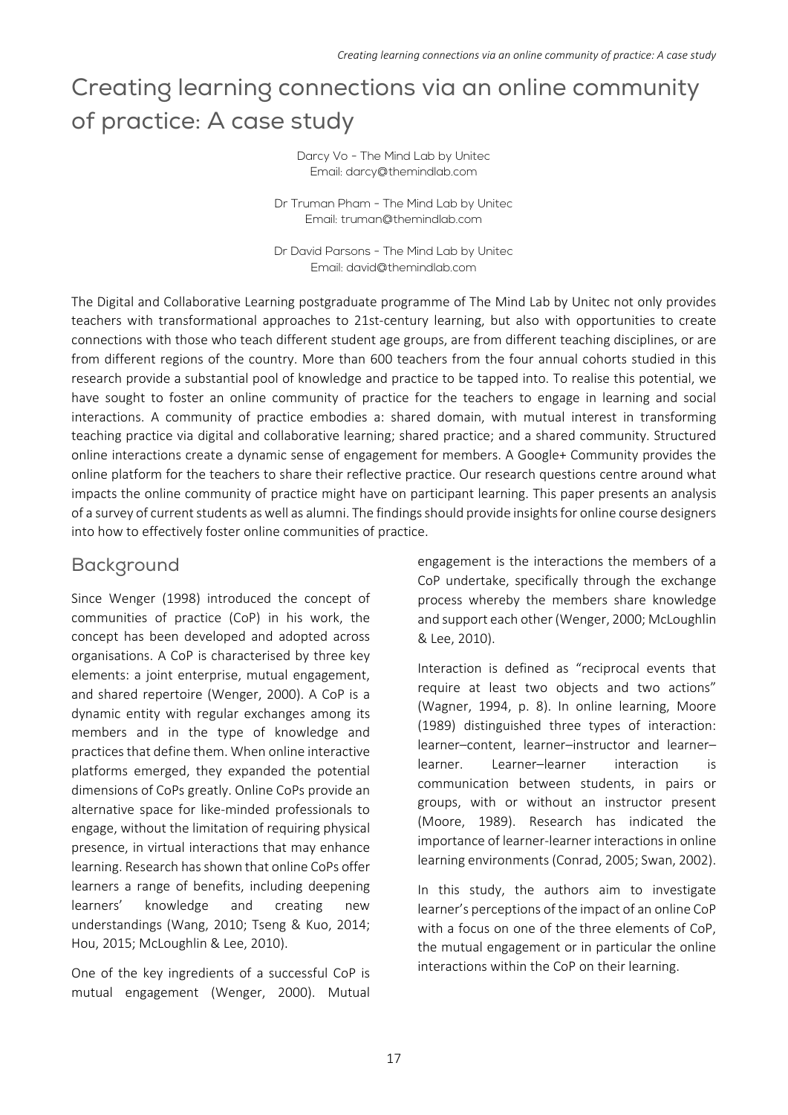# Creating learning connections via an online community of practice: A case study

Darcy Vo - The Mind Lab by Unitec Email: darcy@themindlab.com

Dr Truman Pham - The Mind Lab by Unitec Email: truman@themindlab.com

Dr David Parsons - The Mind Lab by Unitec Email: david@themindlab.com

The Digital and Collaborative Learning postgraduate programme of The Mind Lab by Unitec not only provides teachers with transformational approaches to 21st-century learning, but also with opportunities to create connections with those who teach different student age groups, are from different teaching disciplines, or are from different regions of the country. More than 600 teachers from the four annual cohorts studied in this research provide a substantial pool of knowledge and practice to be tapped into. To realise this potential, we have sought to foster an online community of practice for the teachers to engage in learning and social interactions. A community of practice embodies a: shared domain, with mutual interest in transforming teaching practice via digital and collaborative learning; shared practice; and a shared community. Structured online interactions create a dynamic sense of engagement for members. A Google+ Community provides the online platform for the teachers to share their reflective practice. Our research questions centre around what impacts the online community of practice might have on participant learning. This paper presents an analysis of a survey of current students as well as alumni. The findings should provide insights for online course designers into how to effectively foster online communities of practice.

# Background

Since Wenger (1998) introduced the concept of communities of practice (CoP) in his work, the concept has been developed and adopted across organisations. A CoP is characterised by three key elements: a joint enterprise, mutual engagement, and shared repertoire (Wenger, 2000). A CoP is a dynamic entity with regular exchanges among its members and in the type of knowledge and practices that define them. When online interactive platforms emerged, they expanded the potential dimensions of CoPs greatly. Online CoPs provide an alternative space for like‐minded professionals to engage, without the limitation of requiring physical presence, in virtual interactions that may enhance learning. Research has shown that online CoPs offer learners a range of benefits, including deepening learners' knowledge and creating new understandings (Wang, 2010; Tseng & Kuo, 2014; Hou, 2015; McLoughlin & Lee, 2010).

One of the key ingredients of a successful CoP is mutual engagement (Wenger, 2000). Mutual engagement is the interactions the members of a CoP undertake, specifically through the exchange process whereby the members share knowledge and support each other (Wenger, 2000; McLoughlin & Lee, 2010).

Interaction is defined as "reciprocal events that require at least two objects and two actions" (Wagner, 1994, p. 8). In online learning, Moore (1989) distinguished three types of interaction: learner–content, learner–instructor and learner– learner. Learner–learner interaction is communication between students, in pairs or groups, with or without an instructor present (Moore, 1989). Research has indicated the importance of learner‐learner interactions in online learning environments (Conrad, 2005; Swan, 2002).

In this study, the authors aim to investigate learner's perceptions of the impact of an online CoP with a focus on one of the three elements of CoP, the mutual engagement or in particular the online interactions within the CoP on their learning.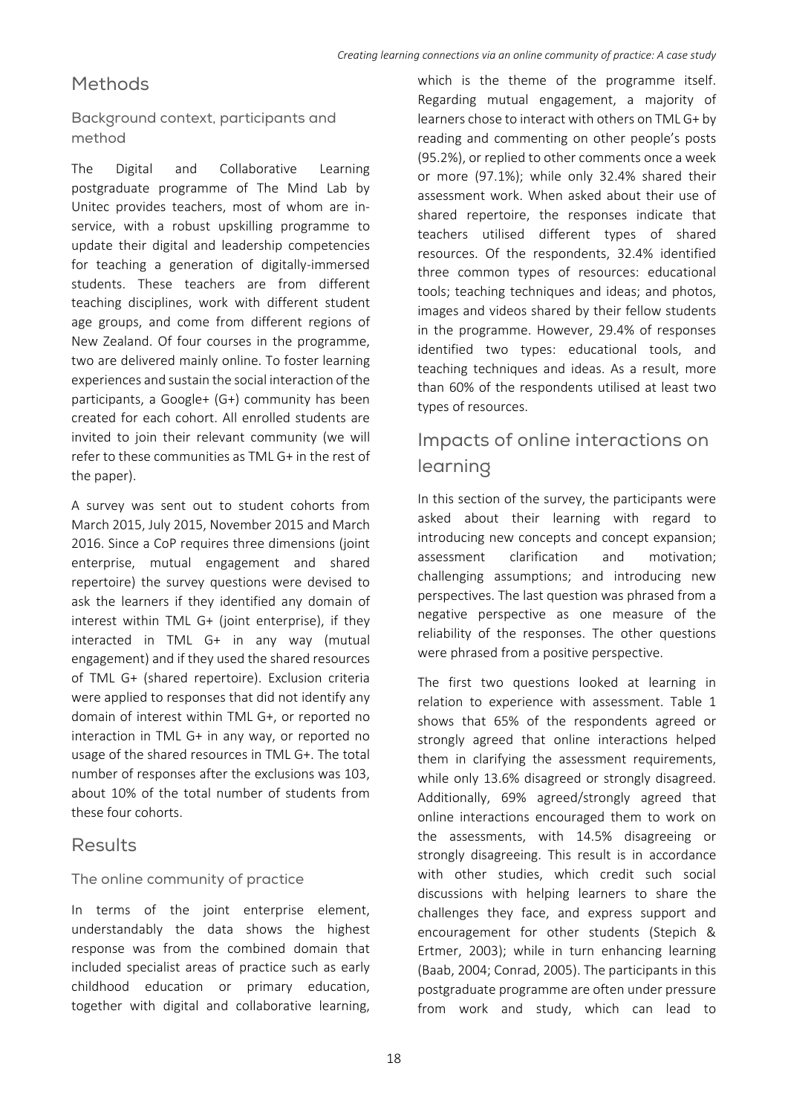# Methods

Background context, participants and method

The Digital and Collaborative Learning postgraduate programme of The Mind Lab by Unitec provides teachers, most of whom are in‐ service, with a robust upskilling programme to update their digital and leadership competencies for teaching a generation of digitally-immersed students. These teachers are from different teaching disciplines, work with different student age groups, and come from different regions of New Zealand. Of four courses in the programme, two are delivered mainly online. To foster learning experiences and sustain the social interaction of the participants, a Google+ (G+) community has been created for each cohort. All enrolled students are invited to join their relevant community (we will refer to these communities as TML G+ in the rest of the paper).

A survey was sent out to student cohorts from March 2015, July 2015, November 2015 and March 2016. Since a CoP requires three dimensions (joint enterprise, mutual engagement and shared repertoire) the survey questions were devised to ask the learners if they identified any domain of interest within TML G+ (joint enterprise), if they interacted in TML G+ in any way (mutual engagement) and if they used the shared resources of TML G+ (shared repertoire). Exclusion criteria were applied to responses that did not identify any domain of interest within TML G+, or reported no interaction in TML G+ in any way, or reported no usage of the shared resources in TML G+. The total number of responses after the exclusions was 103, about 10% of the total number of students from these four cohorts.

# Results

#### The online community of practice

In terms of the joint enterprise element, understandably the data shows the highest response was from the combined domain that included specialist areas of practice such as early childhood education or primary education, together with digital and collaborative learning,

which is the theme of the programme itself. Regarding mutual engagement, a majority of learners chose to interact with others on TML G+ by reading and commenting on other people's posts (95.2%), or replied to other comments once a week or more (97.1%); while only 32.4% shared their assessment work. When asked about their use of shared repertoire, the responses indicate that teachers utilised different types of shared resources. Of the respondents, 32.4% identified three common types of resources: educational tools; teaching techniques and ideas; and photos, images and videos shared by their fellow students in the programme. However, 29.4% of responses identified two types: educational tools, and teaching techniques and ideas. As a result, more than 60% of the respondents utilised at least two types of resources.

# Impacts of online interactions on learning

In this section of the survey, the participants were asked about their learning with regard to introducing new concepts and concept expansion; assessment clarification and motivation; challenging assumptions; and introducing new perspectives. The last question was phrased from a negative perspective as one measure of the reliability of the responses. The other questions were phrased from a positive perspective.

The first two questions looked at learning in relation to experience with assessment. Table 1 shows that 65% of the respondents agreed or strongly agreed that online interactions helped them in clarifying the assessment requirements, while only 13.6% disagreed or strongly disagreed. Additionally, 69% agreed/strongly agreed that online interactions encouraged them to work on the assessments, with 14.5% disagreeing or strongly disagreeing. This result is in accordance with other studies, which credit such social discussions with helping learners to share the challenges they face, and express support and encouragement for other students (Stepich & Ertmer, 2003); while in turn enhancing learning (Baab, 2004; Conrad, 2005). The participants in this postgraduate programme are often under pressure from work and study, which can lead to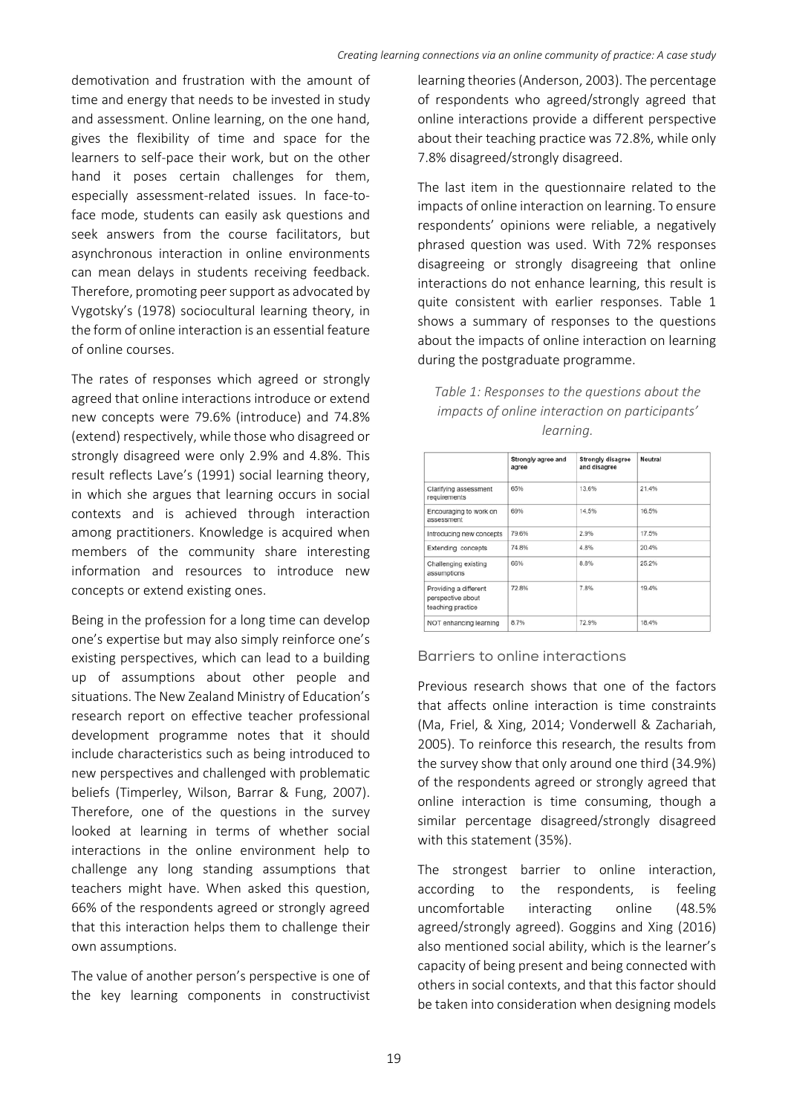demotivation and frustration with the amount of time and energy that needs to be invested in study and assessment. Online learning, on the one hand, gives the flexibility of time and space for the learners to self‐pace their work, but on the other hand it poses certain challenges for them, especially assessment‐related issues. In face‐to‐ face mode, students can easily ask questions and seek answers from the course facilitators, but asynchronous interaction in online environments can mean delays in students receiving feedback. Therefore, promoting peer support as advocated by Vygotsky's (1978) sociocultural learning theory, in the form of online interaction is an essential feature of online courses.

The rates of responses which agreed or strongly agreed that online interactions introduce or extend new concepts were 79.6% (introduce) and 74.8% (extend) respectively, while those who disagreed or strongly disagreed were only 2.9% and 4.8%. This result reflects Lave's (1991) social learning theory, in which she argues that learning occurs in social contexts and is achieved through interaction among practitioners. Knowledge is acquired when members of the community share interesting information and resources to introduce new concepts or extend existing ones.

Being in the profession for a long time can develop one's expertise but may also simply reinforce one's existing perspectives, which can lead to a building up of assumptions about other people and situations. The New Zealand Ministry of Education's research report on effective teacher professional development programme notes that it should include characteristics such as being introduced to new perspectives and challenged with problematic beliefs (Timperley, Wilson, Barrar & Fung, 2007). Therefore, one of the questions in the survey looked at learning in terms of whether social interactions in the online environment help to challenge any long standing assumptions that teachers might have. When asked this question, 66% of the respondents agreed or strongly agreed that this interaction helps them to challenge their own assumptions.

The value of another person's perspective is one of the key learning components in constructivist

learning theories (Anderson, 2003). The percentage of respondents who agreed/strongly agreed that online interactions provide a different perspective about their teaching practice was 72.8%, while only 7.8% disagreed/strongly disagreed.

The last item in the questionnaire related to the impacts of online interaction on learning. To ensure respondents' opinions were reliable, a negatively phrased question was used. With 72% responses disagreeing or strongly disagreeing that online interactions do not enhance learning, this result is quite consistent with earlier responses. Table 1 shows a summary of responses to the questions about the impacts of online interaction on learning during the postgraduate programme.

| Table 1: Responses to the questions about the  |
|------------------------------------------------|
| impacts of online interaction on participants' |
| learnina.                                      |

|                                                                 | Strongly agree and<br>agree | <b>Strongly disagree</b><br>and disagree | Neutral |
|-----------------------------------------------------------------|-----------------------------|------------------------------------------|---------|
| Clarifying assessment<br>requirements                           | 65%                         | 13.6%                                    | 21.4%   |
| Encouraging to work on<br>assessment                            | 69%                         | 14.5%                                    | 16.5%   |
| Introducing new concepts                                        | 79.6%                       | 2.9%                                     | 17.5%   |
| Extending concepts                                              | 74.8%                       | 4.8%                                     | 20.4%   |
| Challenging existing<br>assumptions                             | 66%                         | 8.8%                                     | 25.2%   |
| Providing a different<br>perspective about<br>teaching practice | 72.8%                       | 7.8%                                     | 19.4%   |
| NOT enhancing learning                                          | 8.7%                        | 72.9%                                    | 18.4%   |

#### Barriers to online interactions

Previous research shows that one of the factors that affects online interaction is time constraints (Ma, Friel, & Xing, 2014; Vonderwell & Zachariah, 2005). To reinforce this research, the results from the survey show that only around one third (34.9%) of the respondents agreed or strongly agreed that online interaction is time consuming, though a similar percentage disagreed/strongly disagreed with this statement (35%).

The strongest barrier to online interaction, according to the respondents, is feeling uncomfortable interacting online (48.5% agreed/strongly agreed). Goggins and Xing (2016) also mentioned social ability, which is the learner's capacity of being present and being connected with others in social contexts, and that this factor should be taken into consideration when designing models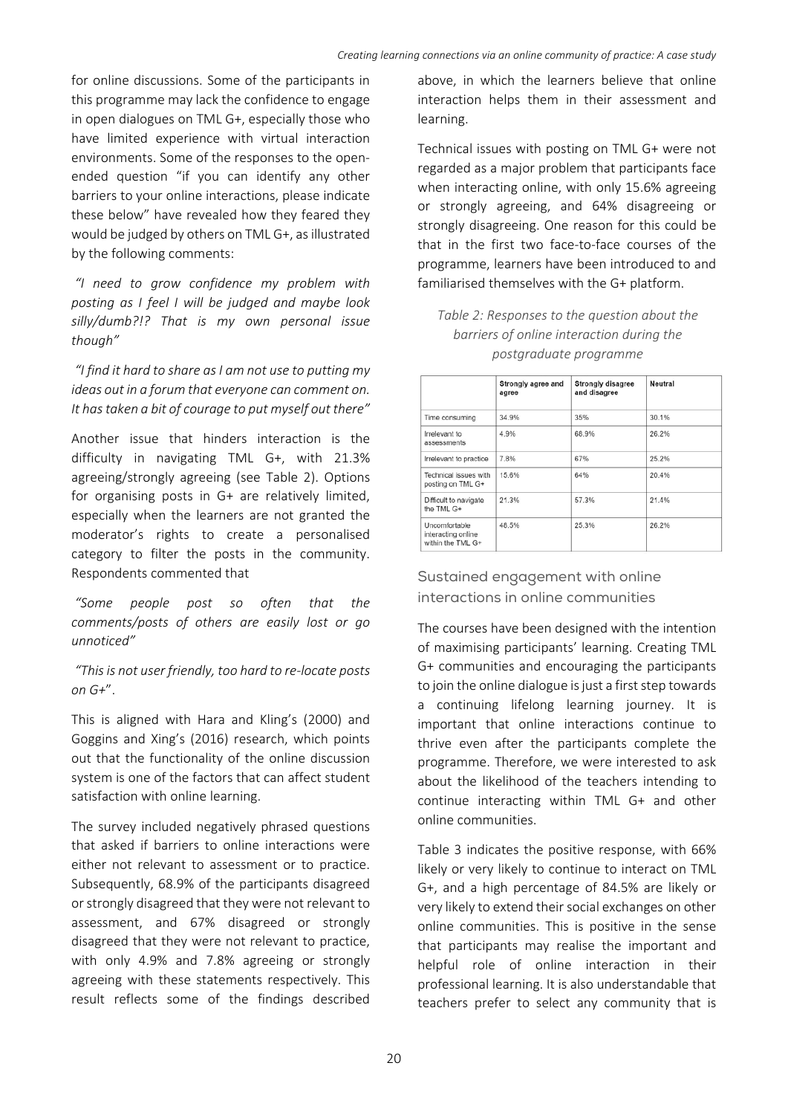for online discussions. Some of the participants in this programme may lack the confidence to engage in open dialogues on TML G+, especially those who have limited experience with virtual interaction environments. Some of the responses to the open‐ ended question "if you can identify any other barriers to your online interactions, please indicate these below" have revealed how they feared they would be judged by others on TML G+, as illustrated by the following comments:

 *"I need to grow confidence my problem with posting as I feel I will be judged and maybe look silly/dumb?!? That is my own personal issue though"*

 *"I find it hard to share as I am not use to putting my ideas out in a forum that everyone can comment on. It has taken a bit of courage to put myself out there"*

Another issue that hinders interaction is the difficulty in navigating TML G+, with 21.3% agreeing/strongly agreeing (see Table 2). Options for organising posts in G+ are relatively limited, especially when the learners are not granted the moderator's rights to create a personalised category to filter the posts in the community. Respondents commented that

 *"Some people post so often that the comments/posts of others are easily lost or go unnoticed"* 

 *"This is not user friendly, too hard to re‐locate posts on G+*".

This is aligned with Hara and Kling's (2000) and Goggins and Xing's (2016) research, which points out that the functionality of the online discussion system is one of the factors that can affect student satisfaction with online learning.

The survey included negatively phrased questions that asked if barriers to online interactions were either not relevant to assessment or to practice. Subsequently, 68.9% of the participants disagreed or strongly disagreed that they were not relevant to assessment, and 67% disagreed or strongly disagreed that they were not relevant to practice, with only 4.9% and 7.8% agreeing or strongly agreeing with these statements respectively. This result reflects some of the findings described

above, in which the learners believe that online interaction helps them in their assessment and learning.

Technical issues with posting on TML G+ were not regarded as a major problem that participants face when interacting online, with only 15.6% agreeing or strongly agreeing, and 64% disagreeing or strongly disagreeing. One reason for this could be that in the first two face‐to‐face courses of the programme, learners have been introduced to and familiarised themselves with the G+ platform.

*Table 2: Responses to the question about the barriers of online interaction during the postgraduate programme* 

|                                                          | Strongly agree and<br>agree | <b>Strongly disagree</b><br>and disagree | Neutral |
|----------------------------------------------------------|-----------------------------|------------------------------------------|---------|
| Time consuming                                           | 34.9%                       | 35%                                      | 30.1%   |
| Irrelevant to<br>assessments                             | 4.9%                        | 68.9%                                    | 26.2%   |
| Irrelevant to practice                                   | 7.8%                        | 67%                                      | 25.2%   |
| Technical issues with<br>posting on TML G+               | 15.6%                       | 64%                                      | 20.4%   |
| Difficult to navigate<br>the TML G+                      | 21.3%                       | 57.3%                                    | 21.4%   |
| Uncomfortable<br>interacting online<br>within the TML G+ | 48.5%                       | 25.3%                                    | 26.2%   |

Sustained engagement with online interactions in online communities

The courses have been designed with the intention of maximising participants' learning. Creating TML G+ communities and encouraging the participants to join the online dialogue is just a first step towards a continuing lifelong learning journey. It is important that online interactions continue to thrive even after the participants complete the programme. Therefore, we were interested to ask about the likelihood of the teachers intending to continue interacting within TML G+ and other online communities.

Table 3 indicates the positive response, with 66% likely or very likely to continue to interact on TML G+, and a high percentage of 84.5% are likely or very likely to extend their social exchanges on other online communities. This is positive in the sense that participants may realise the important and helpful role of online interaction in their professional learning. It is also understandable that teachers prefer to select any community that is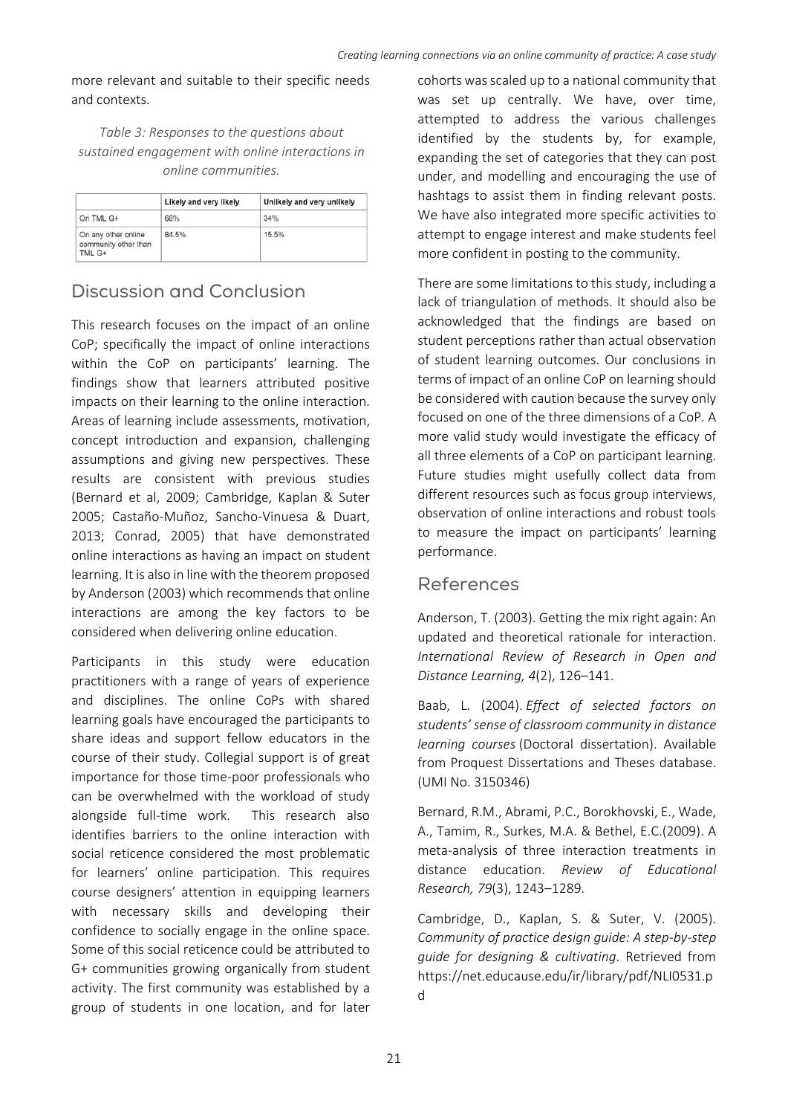more relevant and suitable to their specific needs and contexts.

*Table 3: Responses to the questions about sustained engagement with online interactions in online communities.* 

|                                                       | Likely and very likely | Unlikely and very unlikely |
|-------------------------------------------------------|------------------------|----------------------------|
| On TML G+                                             | 66%                    | 34%                        |
| On any other online<br>community other than<br>TML G+ | 84.5%                  | 15.5%                      |

# Discussion and Conclusion

This research focuses on the impact of an online CoP; specifically the impact of online interactions within the CoP on participants' learning. The findings show that learners attributed positive impacts on their learning to the online interaction. Areas of learning include assessments, motivation, concept introduction and expansion, challenging assumptions and giving new perspectives. These results are consistent with previous studies (Bernard et al, 2009; Cambridge, Kaplan & Suter 2005; Castaño‐Muñoz, Sancho‐Vinuesa & Duart, 2013; Conrad, 2005) that have demonstrated online interactions as having an impact on student learning. It is also in line with the theorem proposed by Anderson (2003) which recommends that online interactions are among the key factors to be considered when delivering online education.

Participants in this study were education practitioners with a range of years of experience and disciplines. The online CoPs with shared learning goals have encouraged the participants to share ideas and support fellow educators in the course of their study. Collegial support is of great importance for those time‐poor professionals who can be overwhelmed with the workload of study alongside full-time work. This research also identifies barriers to the online interaction with social reticence considered the most problematic for learners' online participation. This requires course designers' attention in equipping learners with necessary skills and developing their confidence to socially engage in the online space. Some of this social reticence could be attributed to G+ communities growing organically from student activity. The first community was established by a group of students in one location, and for later

cohorts was scaled up to a national community that was set up centrally. We have, over time, attempted to address the various challenges identified by the students by, for example, expanding the set of categories that they can post under, and modelling and encouraging the use of hashtags to assist them in finding relevant posts. We have also integrated more specific activities to attempt to engage interest and make students feel more confident in posting to the community.

There are some limitations to this study, including a lack of triangulation of methods. It should also be acknowledged that the findings are based on student perceptions rather than actual observation of student learning outcomes. Our conclusions in terms of impact of an online CoP on learning should be considered with caution because the survey only focused on one of the three dimensions of a CoP. A more valid study would investigate the efficacy of all three elements of a CoP on participant learning. Future studies might usefully collect data from different resources such as focus group interviews, observation of online interactions and robust tools to measure the impact on participants' learning performance.

### References

Anderson, T. (2003). Getting the mix right again: An updated and theoretical rationale for interaction. *International Review of Research in Open and Distance Learning, 4*(2), 126–141.

Baab, L. (2004). *Effect of selected factors on students' sense of classroom community in distance learning courses* (Doctoral dissertation). Available from Proquest Dissertations and Theses database. (UMI No. 3150346)

Bernard, R.M., Abrami, P.C., Borokhovski, E., Wade, A., Tamim, R., Surkes, M.A. & Bethel, E.C.(2009). A meta‐analysis of three interaction treatments in distance education. *Review of Educational Research, 79*(3), 1243–1289.

Cambridge, D., Kaplan, S. & Suter, V. (2005). *Community of practice design guide: A step‐by‐step guide for designing & cultivating*. Retrieved from https://net.educause.edu/ir/library/pdf/NLI0531.p d